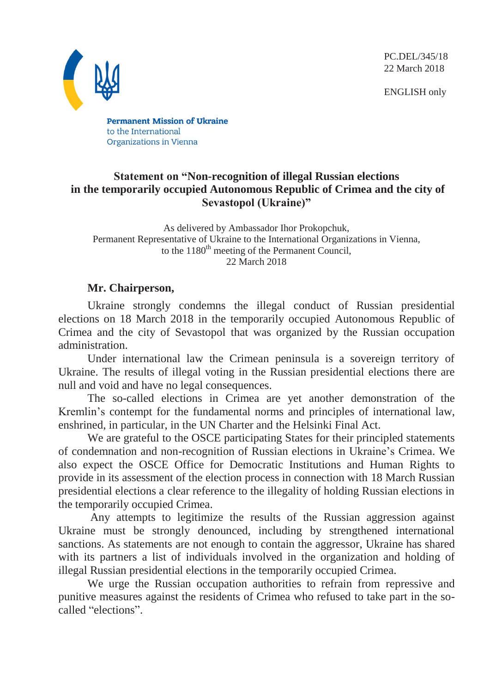PC.DEL/345/18 22 March 2018

ENGLISH only



**Permanent Mission of Ukraine** to the International Organizations in Vienna

## **Statement on "Non-recognition of illegal Russian elections in the temporarily occupied Autonomous Republic of Crimea and the city of Sevastopol (Ukraine)"**

As delivered by Ambassador Ihor Prokopchuk, Permanent Representative of Ukraine to the International Organizations in Vienna, to the  $1180<sup>th</sup>$  meeting of the Permanent Council, 22 March 2018

## **Mr. Chairperson,**

Ukraine strongly condemns the illegal conduct of Russian presidential elections on 18 March 2018 in the temporarily occupied Autonomous Republic of Crimea and the city of Sevastopol that was organized by the Russian occupation administration.

Under international law the Crimean peninsula is a sovereign territory of Ukraine. The results of illegal voting in the Russian presidential elections there are null and void and have no legal consequences.

The so-called elections in Crimea are yet another demonstration of the Kremlin's contempt for the fundamental norms and principles of international law, enshrined, in particular, in the UN Charter and the Helsinki Final Act.

We are grateful to the OSCE participating States for their principled statements of condemnation and non-recognition of Russian elections in Ukraine's Crimea. We also expect the OSCE Office for Democratic Institutions and Human Rights to provide in its assessment of the election process in connection with 18 March Russian presidential elections a clear reference to the illegality of holding Russian elections in the temporarily occupied Crimea.

 Any attempts to legitimize the results of the Russian aggression against Ukraine must be strongly denounced, including by strengthened international sanctions. As statements are not enough to contain the aggressor, Ukraine has shared with its partners a list of individuals involved in the organization and holding of illegal Russian presidential elections in the temporarily occupied Crimea.

We urge the Russian occupation authorities to refrain from repressive and punitive measures against the residents of Crimea who refused to take part in the socalled "elections".